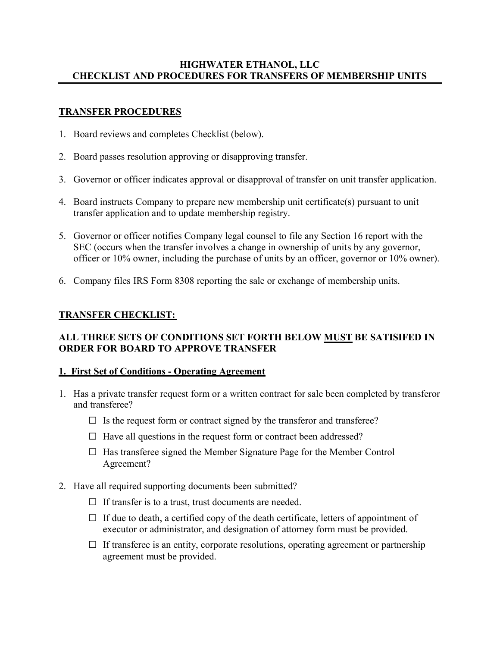## **HIGHWATER ETHANOL, LLC CHECKLIST AND PROCEDURES FOR TRANSFERS OF MEMBERSHIP UNITS**

## **TRANSFER PROCEDURES**

- 1. Board reviews and completes Checklist (below).
- 2. Board passes resolution approving or disapproving transfer.
- 3. Governor or officer indicates approval or disapproval of transfer on unit transfer application.
- 4. Board instructs Company to prepare new membership unit certificate(s) pursuant to unit transfer application and to update membership registry.
- 5. Governor or officer notifies Company legal counsel to file any Section 16 report with the SEC (occurs when the transfer involves a change in ownership of units by any governor, officer or 10% owner, including the purchase of units by an officer, governor or 10% owner).
- 6. Company files IRS Form 8308 reporting the sale or exchange of membership units.

# **TRANSFER CHECKLIST:**

# **ALL THREE SETS OF CONDITIONS SET FORTH BELOW MUST BE SATISIFED IN ORDER FOR BOARD TO APPROVE TRANSFER**

## **1. First Set of Conditions - Operating Agreement**

- 1. Has a private transfer request form or a written contract for sale been completed by transferor and transferee?
	- **□** Is the request form or contract signed by the transferor and transferee?
	- **□** Have all questions in the request form or contract been addressed?
	- **□** Has transferee signed the Member Signature Page for the Member Control Agreement?
- 2. Have all required supporting documents been submitted?
	- **□** If transfer is to a trust, trust documents are needed.
	- **□** If due to death, a certified copy of the death certificate, letters of appointment of executor or administrator, and designation of attorney form must be provided.
	- $\Box$  If transferee is an entity, corporate resolutions, operating agreement or partnership agreement must be provided.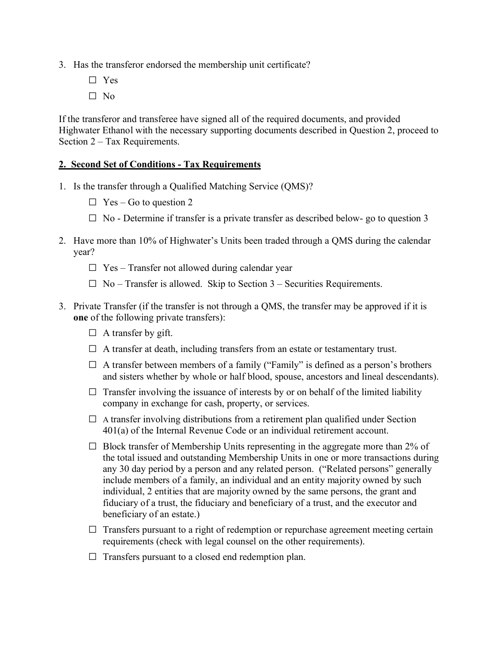- 3. Has the transferor endorsed the membership unit certificate?
	- **□** Yes
	- **□** No

If the transferor and transferee have signed all of the required documents, and provided Highwater Ethanol with the necessary supporting documents described in Question 2, proceed to Section 2 – Tax Requirements.

#### **2. Second Set of Conditions - Tax Requirements**

- 1. Is the transfer through a Qualified Matching Service (QMS)?
	- **□** Yes Go to question 2
	- **□** No Determine if transfer is a private transfer as described below- go to question 3
- 2. Have more than 10% of Highwater's Units been traded through a QMS during the calendar year?
	- **□** Yes Transfer not allowed during calendar year
	- **□** No Transfer is allowed. Skip to Section 3 Securities Requirements.
- 3. Private Transfer (if the transfer is not through a QMS, the transfer may be approved if it is **one** of the following private transfers):
	- **□** A transfer by gift.
	- **□** A transfer at death, including transfers from an estate or testamentary trust.
	- **□** A transfer between members of a family ("Family" is defined as a person's brothers and sisters whether by whole or half blood, spouse, ancestors and lineal descendants).
	- $\Box$  Transfer involving the issuance of interests by or on behalf of the limited liability company in exchange for cash, property, or services.
	- **□** <sup>A</sup>transfer involving distributions from a retirement plan qualified under Section 401(a) of the Internal Revenue Code or an individual retirement account.
	- **□** Block transfer of Membership Units representing in the aggregate more than 2% of the total issued and outstanding Membership Units in one or more transactions during any 30 day period by a person and any related person. ("Related persons" generally include members of a family, an individual and an entity majority owned by such individual, 2 entities that are majority owned by the same persons, the grant and fiduciary of a trust, the fiduciary and beneficiary of a trust, and the executor and beneficiary of an estate.)
	- □ Transfers pursuant to a right of redemption or repurchase agreement meeting certain requirements (check with legal counsel on the other requirements).
	- **□** Transfers pursuant to a closed end redemption plan.